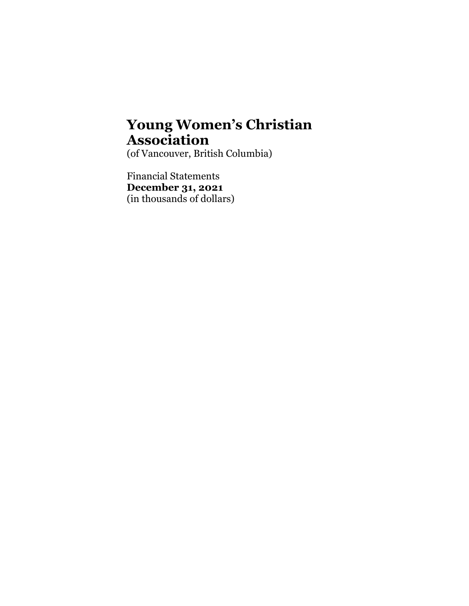(of Vancouver, British Columbia)

Financial Statements **December 31, 2021**  (in thousands of dollars)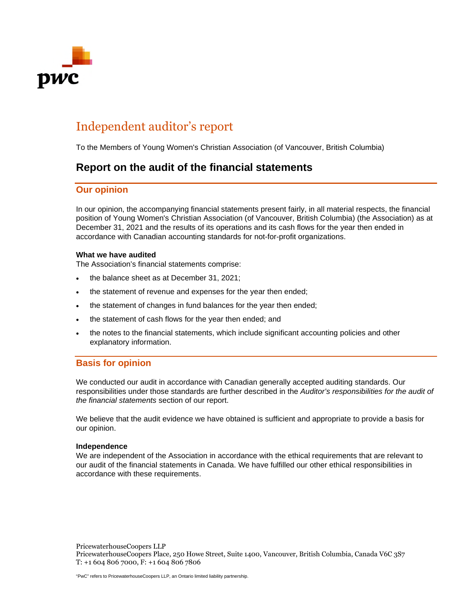

## Independent auditor's report

To the Members of Young Women's Christian Association (of Vancouver, British Columbia)

### **Report on the audit of the financial statements**

#### **Our opinion**

In our opinion, the accompanying financial statements present fairly, in all material respects, the financial position of Young Women's Christian Association (of Vancouver, British Columbia) (the Association) as at December 31, 2021 and the results of its operations and its cash flows for the year then ended in accordance with Canadian accounting standards for not-for-profit organizations.

#### **What we have audited**

The Association's financial statements comprise:

- the balance sheet as at December 31, 2021;
- the statement of revenue and expenses for the year then ended;
- the statement of changes in fund balances for the year then ended;
- the statement of cash flows for the year then ended; and
- the notes to the financial statements, which include significant accounting policies and other explanatory information.

#### **Basis for opinion**

We conducted our audit in accordance with Canadian generally accepted auditing standards. Our responsibilities under those standards are further described in the *Auditor's responsibilities for the audit of the financial statements* section of our report.

We believe that the audit evidence we have obtained is sufficient and appropriate to provide a basis for our opinion.

#### **Independence**

We are independent of the Association in accordance with the ethical requirements that are relevant to our audit of the financial statements in Canada. We have fulfilled our other ethical responsibilities in accordance with these requirements.

PricewaterhouseCoopers LLP PricewaterhouseCoopers Place, 250 Howe Street, Suite 1400, Vancouver, British Columbia, Canada V6C 3S7 T: +1 604 806 7000, F: +1 604 806 7806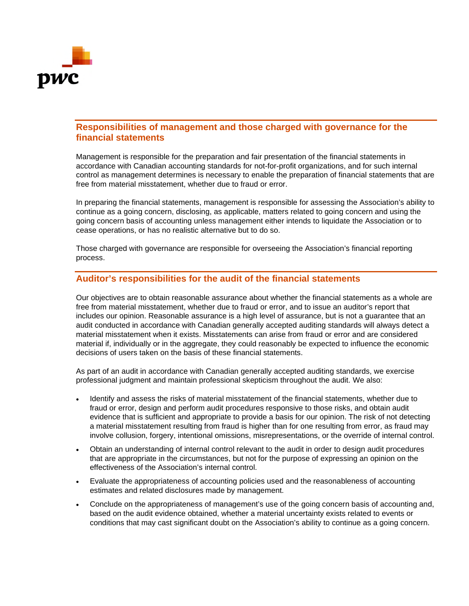

#### **Responsibilities of management and those charged with governance for the financial statements**

Management is responsible for the preparation and fair presentation of the financial statements in accordance with Canadian accounting standards for not-for-profit organizations, and for such internal control as management determines is necessary to enable the preparation of financial statements that are free from material misstatement, whether due to fraud or error.

In preparing the financial statements, management is responsible for assessing the Association's ability to continue as a going concern, disclosing, as applicable, matters related to going concern and using the going concern basis of accounting unless management either intends to liquidate the Association or to cease operations, or has no realistic alternative but to do so.

Those charged with governance are responsible for overseeing the Association's financial reporting process.

#### **Auditor's responsibilities for the audit of the financial statements**

Our objectives are to obtain reasonable assurance about whether the financial statements as a whole are free from material misstatement, whether due to fraud or error, and to issue an auditor's report that includes our opinion. Reasonable assurance is a high level of assurance, but is not a guarantee that an audit conducted in accordance with Canadian generally accepted auditing standards will always detect a material misstatement when it exists. Misstatements can arise from fraud or error and are considered material if, individually or in the aggregate, they could reasonably be expected to influence the economic decisions of users taken on the basis of these financial statements.

As part of an audit in accordance with Canadian generally accepted auditing standards, we exercise professional judgment and maintain professional skepticism throughout the audit. We also:

- Identify and assess the risks of material misstatement of the financial statements, whether due to fraud or error, design and perform audit procedures responsive to those risks, and obtain audit evidence that is sufficient and appropriate to provide a basis for our opinion. The risk of not detecting a material misstatement resulting from fraud is higher than for one resulting from error, as fraud may involve collusion, forgery, intentional omissions, misrepresentations, or the override of internal control.
- Obtain an understanding of internal control relevant to the audit in order to design audit procedures that are appropriate in the circumstances, but not for the purpose of expressing an opinion on the effectiveness of the Association's internal control.
- Evaluate the appropriateness of accounting policies used and the reasonableness of accounting estimates and related disclosures made by management.
- Conclude on the appropriateness of management's use of the going concern basis of accounting and, based on the audit evidence obtained, whether a material uncertainty exists related to events or conditions that may cast significant doubt on the Association's ability to continue as a going concern.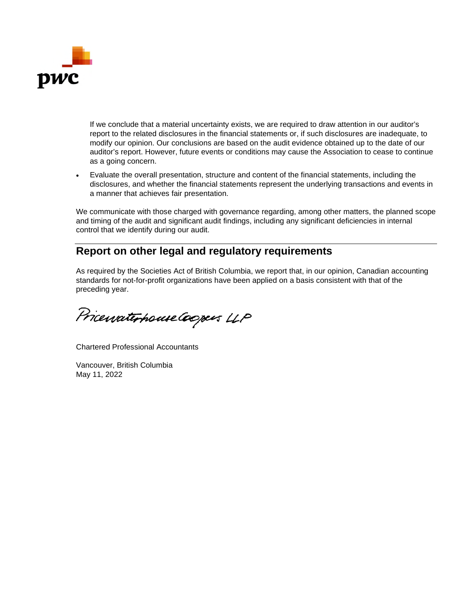

If we conclude that a material uncertainty exists, we are required to draw attention in our auditor's report to the related disclosures in the financial statements or, if such disclosures are inadequate, to modify our opinion. Our conclusions are based on the audit evidence obtained up to the date of our auditor's report. However, future events or conditions may cause the Association to cease to continue as a going concern.

 Evaluate the overall presentation, structure and content of the financial statements, including the disclosures, and whether the financial statements represent the underlying transactions and events in a manner that achieves fair presentation.

We communicate with those charged with governance regarding, among other matters, the planned scope and timing of the audit and significant audit findings, including any significant deficiencies in internal control that we identify during our audit.

### **Report on other legal and regulatory requirements**

As required by the Societies Act of British Columbia, we report that, in our opinion, Canadian accounting standards for not-for-profit organizations have been applied on a basis consistent with that of the preceding year.

Pricewaterhouse Coopers LLP

Chartered Professional Accountants

Vancouver, British Columbia May 11, 2022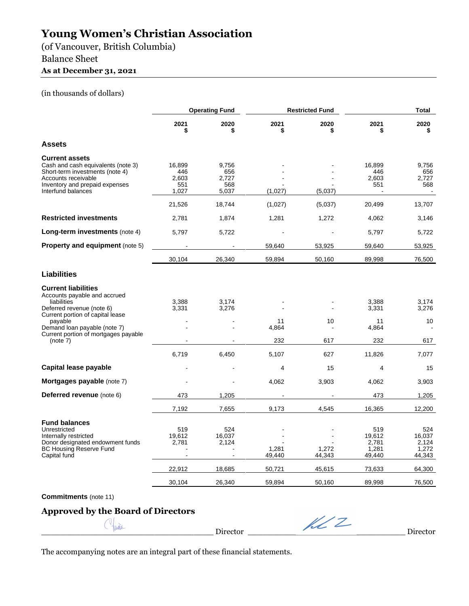(of Vancouver, British Columbia)

### Balance Sheet

#### **As at December 31, 2021**

#### (in thousands of dollars)

|                                                                                                                                                                               | <b>Operating Fund</b>                      |                                       |                                     | <b>Restricted Fund</b>    |                                                               | Total                                                         |
|-------------------------------------------------------------------------------------------------------------------------------------------------------------------------------|--------------------------------------------|---------------------------------------|-------------------------------------|---------------------------|---------------------------------------------------------------|---------------------------------------------------------------|
|                                                                                                                                                                               | 2021<br>\$                                 | 2020<br>\$                            | 2021<br>\$                          | 2020<br>\$                | 2021<br>\$                                                    | 2020<br>\$                                                    |
| <b>Assets</b>                                                                                                                                                                 |                                            |                                       |                                     |                           |                                                               |                                                               |
| <b>Current assets</b><br>Cash and cash equivalents (note 3)<br>Short-term investments (note 4)<br>Accounts receivable<br>Inventory and prepaid expenses<br>Interfund balances | 16,899<br>446<br>2,603<br>551<br>1,027     | 9,756<br>656<br>2,727<br>568<br>5,037 | (1,027)                             | (5,037)                   | 16,899<br>446<br>2,603<br>551                                 | 9,756<br>656<br>2,727<br>568                                  |
|                                                                                                                                                                               | 21,526                                     | 18,744                                | (1,027)                             | (5,037)                   | 20,499                                                        | 13,707                                                        |
| <b>Restricted investments</b>                                                                                                                                                 | 2,781                                      | 1,874                                 | 1,281                               | 1,272                     | 4,062                                                         | 3,146                                                         |
| Long-term investments (note 4)                                                                                                                                                | 5,797                                      | 5,722                                 |                                     |                           | 5,797                                                         | 5,722                                                         |
| Property and equipment (note 5)                                                                                                                                               |                                            |                                       | 59,640                              | 53,925                    | 59,640                                                        | 53,925                                                        |
|                                                                                                                                                                               | 30,104                                     | 26,340                                | 59,894                              | 50,160                    | 89,998                                                        | 76,500                                                        |
| <b>Liabilities</b>                                                                                                                                                            |                                            |                                       |                                     |                           |                                                               |                                                               |
| <b>Current liabilities</b><br>Accounts payable and accrued<br>liabilities<br>Deferred revenue (note 6)<br>Current portion of capital lease<br>payable                         | 3,388<br>3,331                             | 3,174<br>3,276                        | 11                                  | 10                        | 3,388<br>3,331<br>11                                          | 3,174<br>3,276<br>10                                          |
| Demand loan payable (note 7)<br>Current portion of mortgages payable<br>(note 7)                                                                                              |                                            |                                       | 4,864<br>232                        | 617                       | 4,864<br>232                                                  | 617                                                           |
|                                                                                                                                                                               | 6,719                                      | 6,450                                 | 5,107                               | 627                       | 11,826                                                        | 7,077                                                         |
| Capital lease payable                                                                                                                                                         |                                            |                                       | 4                                   | 15                        | $\overline{4}$                                                | 15                                                            |
| Mortgages payable (note 7)                                                                                                                                                    |                                            |                                       | 4,062                               | 3,903                     | 4,062                                                         | 3,903                                                         |
| Deferred revenue (note 6)                                                                                                                                                     | 473                                        | 1,205                                 |                                     |                           | 473                                                           | 1,205                                                         |
|                                                                                                                                                                               | 7,192                                      | 7,655                                 | 9,173                               | 4,545                     | 16,365                                                        | 12,200                                                        |
| <b>Fund balances</b><br>Unrestricted<br>Internally restricted<br>Donor designated endowment funds<br><b>BC Housing Reserve Fund</b><br>Capital fund                           | 519<br>19,612<br>2,781<br>22,912<br>30,104 | 524<br>16,037<br>2,124<br>18,685      | 1,281<br>49,440<br>50,721<br>59,894 | 1,272<br>44,343<br>45,615 | 519<br>19,612<br>2,781<br>1,281<br>49,440<br>73,633<br>89,998 | 524<br>16.037<br>2,124<br>1,272<br>44,343<br>64,300<br>76,500 |
|                                                                                                                                                                               |                                            | 26,340                                |                                     | 50,160                    |                                                               |                                                               |

**Commitments** (note 11)

### **Approved by the Board of Directors**

 $\mathbb{C}$   $\downarrow$   $\mathbb{C}$   $\mathbb{C}$   $\mathbb{C}$   $\mathbb{C}$   $\mathbb{C}$   $\mathbb{C}$   $\mathbb{C}$   $\mathbb{C}$   $\mathbb{C}$   $\mathbb{C}$   $\mathbb{C}$   $\mathbb{C}$   $\mathbb{C}$   $\mathbb{C}$   $\mathbb{C}$   $\mathbb{C}$   $\mathbb{C}$   $\mathbb{C}$   $\mathbb{C}$   $\mathbb{C}$   $\mathbb{C}$   $\mathbb{C}$   $\mathbb{C}$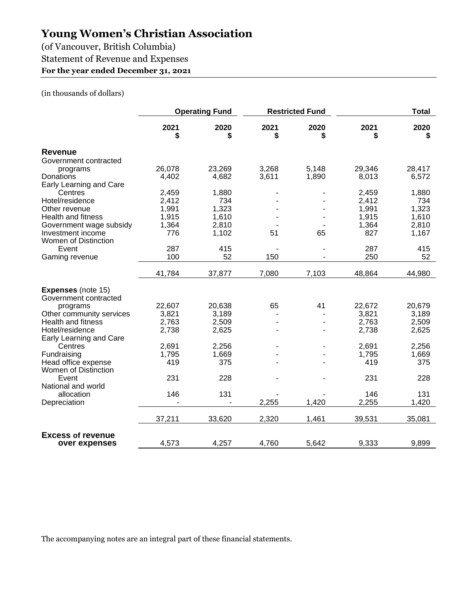(of Vancouver, British Columbia)

Statement of Revenue and Expenses

### **For the year ended December 31, 2021**

#### (in thousands of dollars)

|                                                    | <b>Operating Fund</b> |            |            | <b>Restricted Fund</b> |            | <b>Total</b> |
|----------------------------------------------------|-----------------------|------------|------------|------------------------|------------|--------------|
|                                                    | 2021<br>\$            | 2020<br>\$ | 2021<br>\$ | 2020<br>\$             | 2021<br>\$ | 2020<br>\$   |
| <b>Revenue</b>                                     |                       |            |            |                        |            |              |
| Government contracted                              |                       |            |            |                        |            |              |
| programs                                           | 26,078                | 23,269     | 3,268      | 5,148                  | 29,346     | 28,417       |
| Donations                                          | 4,402                 | 4,682      | 3,611      | 1,890                  | 8,013      | 6,572        |
| Early Learning and Care                            |                       |            |            |                        |            |              |
| Centres                                            | 2,459                 | 1,880      |            |                        | 2,459      | 1,880        |
| Hotel/residence                                    | 2,412                 | 734        |            |                        | 2,412      | 734          |
| Other revenue                                      | 1,991                 | 1,323      |            |                        | 1,991      | 1,323        |
| <b>Health and fitness</b>                          | 1,915                 | 1,610      |            |                        | 1,915      | 1,610        |
| Government wage subsidy                            | 1,364                 | 2,810      |            |                        | 1,364      | 2,810        |
| Investment income                                  | 776                   | 1,102      | 51         | 65                     | 827        | 1,167        |
| Women of Distinction                               |                       |            |            |                        |            |              |
| Event                                              | 287                   | 415        |            |                        | 287        | 415          |
| Gaming revenue                                     | 100                   | 52         | 150        |                        | 250        | 52           |
|                                                    | 41,784                | 37,877     | 7,080      | 7,103                  | 48,864     | 44,980       |
| <b>Expenses</b> (note 15)<br>Government contracted |                       |            |            |                        |            |              |
| programs                                           | 22,607                | 20,638     | 65         | 41                     | 22,672     | 20,679       |
| Other community services                           | 3,821                 | 3,189      |            |                        | 3,821      | 3,189        |
| <b>Health and fitness</b>                          | 2,763                 | 2,509      |            |                        | 2,763      | 2,509        |
| Hotel/residence                                    | 2,738                 | 2,625      |            |                        | 2,738      | 2,625        |
| Early Learning and Care                            |                       |            |            |                        |            |              |
| Centres                                            | 2,691                 | 2,256      |            |                        | 2,691      | 2,256        |
| Fundraising                                        | 1,795                 | 1,669      |            |                        | 1,795      | 1,669        |
| Head office expense                                | 419                   | 375        |            |                        | 419        | 375          |
| Women of Distinction<br>Event                      | 231                   | 228        |            |                        | 231        | 228          |
| National and world                                 |                       |            |            |                        |            |              |
| allocation                                         | 146                   | 131        |            |                        | 146        | 131          |
| Depreciation                                       |                       |            | 2,255      | 1,420                  | 2,255      | 1,420        |
|                                                    |                       |            |            |                        |            |              |
|                                                    | 37,211                | 33,620     | 2,320      | 1,461                  | 39,531     | 35,081       |
| <b>Excess of revenue</b><br>over expenses          | 4,573                 | 4,257      | 4,760      | 5,642                  | 9,333      | 9,899        |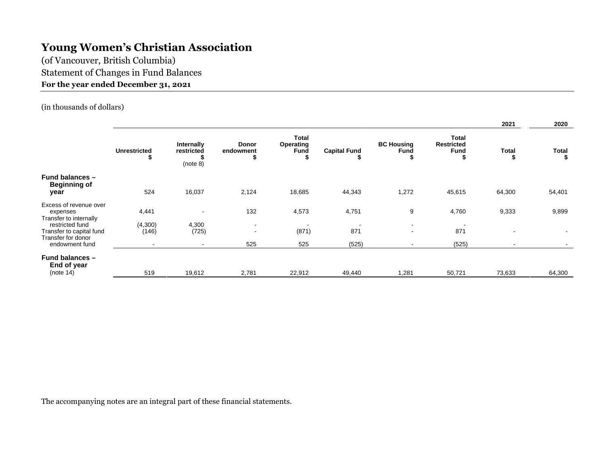(of Vancouver, British Columbia) Statement of Changes in Fund Balances **For the year ended December 31, 2021** 

(in thousands of dollars)

|                                                                   |                          |                                      |                         |                            |                     |                                  |                                                  | 2021                     | 2020              |
|-------------------------------------------------------------------|--------------------------|--------------------------------------|-------------------------|----------------------------|---------------------|----------------------------------|--------------------------------------------------|--------------------------|-------------------|
|                                                                   | <b>Unrestricted</b><br>s | Internally<br>restricted<br>(note 8) | Donor<br>endowment<br>э | Total<br>Operating<br>Fund | <b>Capital Fund</b> | <b>BC Housing</b><br><b>Fund</b> | <b>Total</b><br><b>Restricted</b><br><b>Fund</b> | <b>Total</b><br>ъ        | <b>Total</b><br>S |
| <b>Fund balances -</b><br><b>Beginning of</b><br>year             | 524                      | 16,037                               | 2,124                   | 18,685                     | 44,343              | 1,272                            | 45,615                                           | 64,300                   | 54,401            |
| Excess of revenue over<br>expenses<br>Transfer to internally      | 4,441                    | $\overline{\phantom{a}}$             | 132                     | 4,573                      | 4,751               | 9                                | 4,760                                            | 9,333                    | 9,899             |
| restricted fund<br>Transfer to capital fund<br>Transfer for donor | (4,300)<br>(146)         | 4,300<br>(725)                       | $\sim$<br>$\sim$        | (871)                      | 871                 | $\sim$<br>$\sim$                 | 871                                              | $\overline{\phantom{0}}$ |                   |
| endowment fund                                                    | $\sim$                   | $\blacksquare$                       | 525                     | 525                        | (525)               | $\sim$                           | (525)                                            | $\,$ $\,$                |                   |
| <b>Fund balances -</b><br>End of year<br>(note 14)                | 519                      | 19,612                               | 2,781                   | 22,912                     | 49,440              | 1,281                            | 50,721                                           | 73,633                   | 64,300            |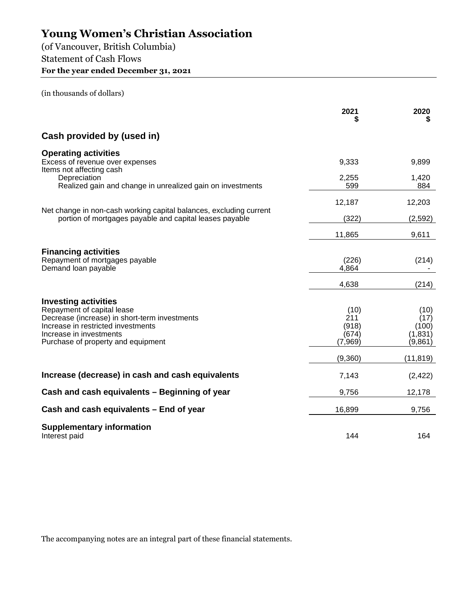(of Vancouver, British Columbia) Statement of Cash Flows **For the year ended December 31, 2021** 

(in thousands of dollars)

|                                                                                                                                                                                                                   | 2021                                     | 2020                                         |
|-------------------------------------------------------------------------------------------------------------------------------------------------------------------------------------------------------------------|------------------------------------------|----------------------------------------------|
| Cash provided by (used in)                                                                                                                                                                                        |                                          |                                              |
| <b>Operating activities</b><br>Excess of revenue over expenses<br>Items not affecting cash                                                                                                                        | 9,333                                    | 9,899                                        |
| Depreciation<br>Realized gain and change in unrealized gain on investments                                                                                                                                        | 2,255<br>599                             | 1,420<br>884                                 |
|                                                                                                                                                                                                                   | 12,187                                   | 12,203                                       |
| Net change in non-cash working capital balances, excluding current<br>portion of mortgages payable and capital leases payable                                                                                     | (322)                                    | (2,592)                                      |
|                                                                                                                                                                                                                   | 11,865                                   | 9,611                                        |
| <b>Financing activities</b><br>Repayment of mortgages payable<br>Demand loan payable                                                                                                                              | (226)<br>4,864                           | (214)                                        |
|                                                                                                                                                                                                                   | 4,638                                    | (214)                                        |
| <b>Investing activities</b><br>Repayment of capital lease<br>Decrease (increase) in short-term investments<br>Increase in restricted investments<br>Increase in investments<br>Purchase of property and equipment | (10)<br>211<br>(918)<br>(674)<br>(7,969) | (10)<br>(17)<br>(100)<br>(1, 831)<br>(9,861) |
|                                                                                                                                                                                                                   | (9,360)                                  | (11, 819)                                    |
| Increase (decrease) in cash and cash equivalents                                                                                                                                                                  | 7,143                                    | (2, 422)                                     |
| Cash and cash equivalents - Beginning of year                                                                                                                                                                     | 9,756                                    | 12,178                                       |
| Cash and cash equivalents - End of year                                                                                                                                                                           | 16,899                                   | 9,756                                        |
| <b>Supplementary information</b><br>Interest paid                                                                                                                                                                 | 144                                      | 164                                          |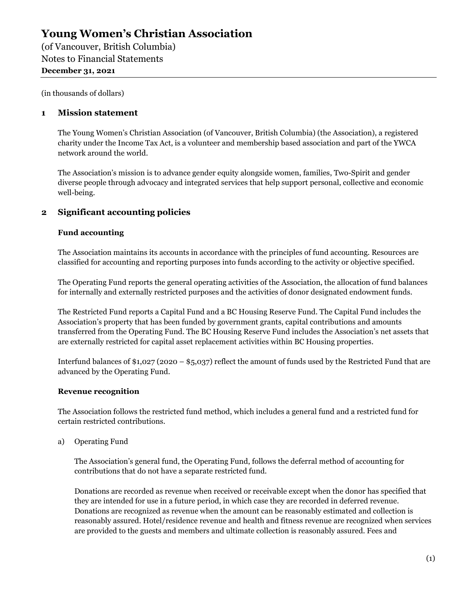(of Vancouver, British Columbia) Notes to Financial Statements **December 31, 2021** 

(in thousands of dollars)

#### **1 Mission statement**

The Young Women's Christian Association (of Vancouver, British Columbia) (the Association), a registered charity under the Income Tax Act, is a volunteer and membership based association and part of the YWCA network around the world.

The Association's mission is to advance gender equity alongside women, families, Two-Spirit and gender diverse people through advocacy and integrated services that help support personal, collective and economic well-being.

#### **2 Significant accounting policies**

#### **Fund accounting**

The Association maintains its accounts in accordance with the principles of fund accounting. Resources are classified for accounting and reporting purposes into funds according to the activity or objective specified.

The Operating Fund reports the general operating activities of the Association, the allocation of fund balances for internally and externally restricted purposes and the activities of donor designated endowment funds.

The Restricted Fund reports a Capital Fund and a BC Housing Reserve Fund. The Capital Fund includes the Association's property that has been funded by government grants, capital contributions and amounts transferred from the Operating Fund. The BC Housing Reserve Fund includes the Association's net assets that are externally restricted for capital asset replacement activities within BC Housing properties.

Interfund balances of \$1,027 (2020 – \$5,037) reflect the amount of funds used by the Restricted Fund that are advanced by the Operating Fund.

#### **Revenue recognition**

The Association follows the restricted fund method, which includes a general fund and a restricted fund for certain restricted contributions.

a) Operating Fund

The Association's general fund, the Operating Fund, follows the deferral method of accounting for contributions that do not have a separate restricted fund.

Donations are recorded as revenue when received or receivable except when the donor has specified that they are intended for use in a future period, in which case they are recorded in deferred revenue. Donations are recognized as revenue when the amount can be reasonably estimated and collection is reasonably assured. Hotel/residence revenue and health and fitness revenue are recognized when services are provided to the guests and members and ultimate collection is reasonably assured. Fees and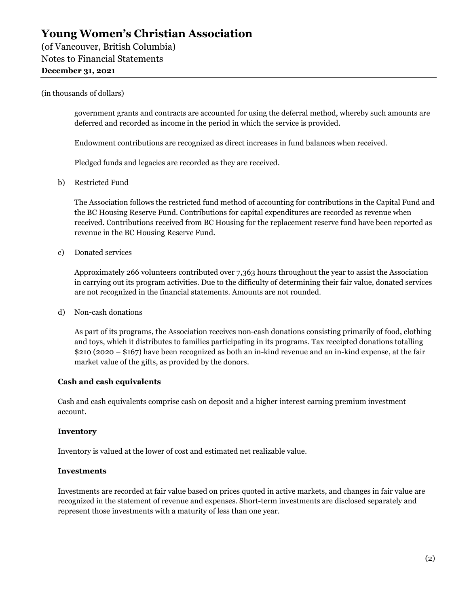(of Vancouver, British Columbia) Notes to Financial Statements

#### **December 31, 2021**

#### (in thousands of dollars)

government grants and contracts are accounted for using the deferral method, whereby such amounts are deferred and recorded as income in the period in which the service is provided.

Endowment contributions are recognized as direct increases in fund balances when received.

Pledged funds and legacies are recorded as they are received.

b) Restricted Fund

The Association follows the restricted fund method of accounting for contributions in the Capital Fund and the BC Housing Reserve Fund. Contributions for capital expenditures are recorded as revenue when received. Contributions received from BC Housing for the replacement reserve fund have been reported as revenue in the BC Housing Reserve Fund.

c) Donated services

Approximately 266 volunteers contributed over 7,363 hours throughout the year to assist the Association in carrying out its program activities. Due to the difficulty of determining their fair value, donated services are not recognized in the financial statements. Amounts are not rounded.

d) Non-cash donations

As part of its programs, the Association receives non-cash donations consisting primarily of food, clothing and toys, which it distributes to families participating in its programs. Tax receipted donations totalling \$210 (2020 – \$167) have been recognized as both an in-kind revenue and an in-kind expense, at the fair market value of the gifts, as provided by the donors.

#### **Cash and cash equivalents**

Cash and cash equivalents comprise cash on deposit and a higher interest earning premium investment account.

#### **Inventory**

Inventory is valued at the lower of cost and estimated net realizable value.

#### **Investments**

Investments are recorded at fair value based on prices quoted in active markets, and changes in fair value are recognized in the statement of revenue and expenses. Short-term investments are disclosed separately and represent those investments with a maturity of less than one year.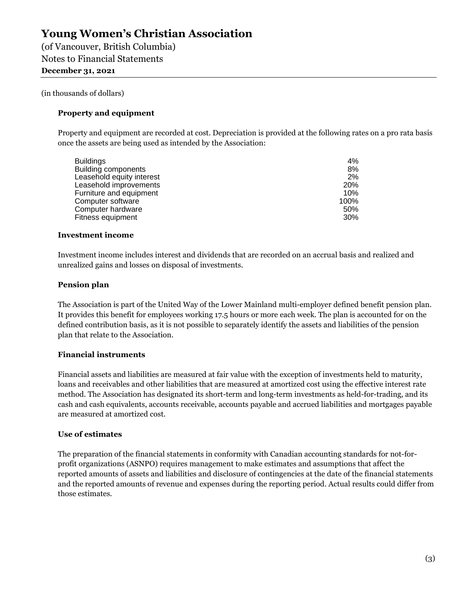(of Vancouver, British Columbia) Notes to Financial Statements **December 31, 2021** 

#### (in thousands of dollars)

#### **Property and equipment**

Property and equipment are recorded at cost. Depreciation is provided at the following rates on a pro rata basis once the assets are being used as intended by the Association:

| 4%         |
|------------|
| 8%         |
| 2%         |
| <b>20%</b> |
| 10%        |
| 100%       |
| 50%        |
| 30%        |
|            |

#### **Investment income**

Investment income includes interest and dividends that are recorded on an accrual basis and realized and unrealized gains and losses on disposal of investments.

#### **Pension plan**

The Association is part of the United Way of the Lower Mainland multi-employer defined benefit pension plan. It provides this benefit for employees working 17.5 hours or more each week. The plan is accounted for on the defined contribution basis, as it is not possible to separately identify the assets and liabilities of the pension plan that relate to the Association.

#### **Financial instruments**

Financial assets and liabilities are measured at fair value with the exception of investments held to maturity, loans and receivables and other liabilities that are measured at amortized cost using the effective interest rate method. The Association has designated its short-term and long-term investments as held-for-trading, and its cash and cash equivalents, accounts receivable, accounts payable and accrued liabilities and mortgages payable are measured at amortized cost.

#### **Use of estimates**

The preparation of the financial statements in conformity with Canadian accounting standards for not-forprofit organizations (ASNPO) requires management to make estimates and assumptions that affect the reported amounts of assets and liabilities and disclosure of contingencies at the date of the financial statements and the reported amounts of revenue and expenses during the reporting period. Actual results could differ from those estimates.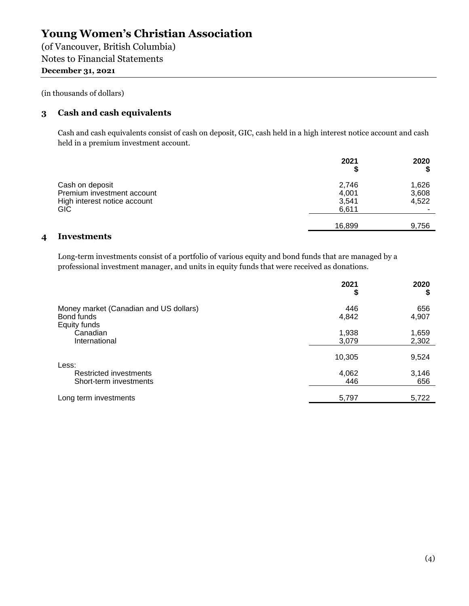(of Vancouver, British Columbia) Notes to Financial Statements **December 31, 2021** 

(in thousands of dollars)

#### **3 Cash and cash equivalents**

Cash and cash equivalents consist of cash on deposit, GIC, cash held in a high interest notice account and cash held in a premium investment account.

|                              | 2021   | 2020  |
|------------------------------|--------|-------|
| Cash on deposit              | 2,746  | 1,626 |
| Premium investment account   | 4,001  | 3,608 |
| High interest notice account | 3,541  | 4,522 |
| GIC                          | 6,611  |       |
|                              | 16.899 | 9,756 |
|                              |        |       |

#### **4 Investments**

Long-term investments consist of a portfolio of various equity and bond funds that are managed by a professional investment manager, and units in equity funds that were received as donations.

|                                                                      | 2021<br>\$     | 2020<br>S      |
|----------------------------------------------------------------------|----------------|----------------|
| Money market (Canadian and US dollars)<br>Bond funds<br>Equity funds | 446<br>4,842   | 656<br>4,907   |
| Canadian<br>International                                            | 1,938<br>3,079 | 1,659<br>2,302 |
| Less:                                                                | 10,305         | 9,524          |
| Restricted investments<br>Short-term investments                     | 4,062<br>446   | 3,146<br>656   |
| Long term investments                                                | 5,797          | 5,722          |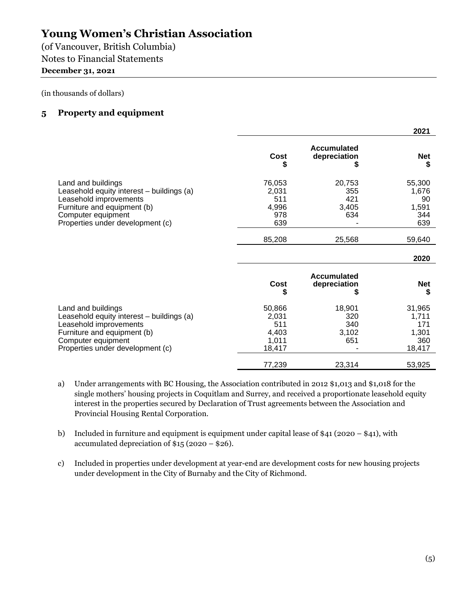(of Vancouver, British Columbia) Notes to Financial Statements

#### **December 31, 2021**

(in thousands of dollars)

#### **5 Property and equipment**

|                                                                                                                                                                                    |                                                    |                                      | 2021                                             |
|------------------------------------------------------------------------------------------------------------------------------------------------------------------------------------|----------------------------------------------------|--------------------------------------|--------------------------------------------------|
|                                                                                                                                                                                    | Cost<br>\$                                         | Accumulated<br>depreciation<br>S     | <b>Net</b><br>S                                  |
| Land and buildings<br>Leasehold equity interest - buildings (a)<br>Leasehold improvements<br>Furniture and equipment (b)<br>Computer equipment<br>Properties under development (c) | 76,053<br>2,031<br>511<br>4,996<br>978<br>639      | 20,753<br>355<br>421<br>3,405<br>634 | 55,300<br>1,676<br>90<br>1,591<br>344<br>639     |
|                                                                                                                                                                                    | 85,208                                             | 25,568                               | 59,640                                           |
|                                                                                                                                                                                    |                                                    |                                      | 2020                                             |
|                                                                                                                                                                                    | Cost<br>\$                                         | Accumulated<br>depreciation<br>S     | <b>Net</b><br>S                                  |
| Land and buildings<br>Leasehold equity interest - buildings (a)<br>Leasehold improvements<br>Furniture and equipment (b)<br>Computer equipment<br>Properties under development (c) | 50,866<br>2,031<br>511<br>4,403<br>1,011<br>18,417 | 18,901<br>320<br>340<br>3,102<br>651 | 31,965<br>1,711<br>171<br>1,301<br>360<br>18,417 |
|                                                                                                                                                                                    | 77,239                                             | 23,314                               | 53,925                                           |

- a) Under arrangements with BC Housing, the Association contributed in 2012 \$1,013 and \$1,018 for the single mothers' housing projects in Coquitlam and Surrey, and received a proportionate leasehold equity interest in the properties secured by Declaration of Trust agreements between the Association and Provincial Housing Rental Corporation.
- b) Included in furniture and equipment is equipment under capital lease of \$41 (2020 \$41), with accumulated depreciation of \$15 (2020 – \$26).
- c) Included in properties under development at year-end are development costs for new housing projects under development in the City of Burnaby and the City of Richmond.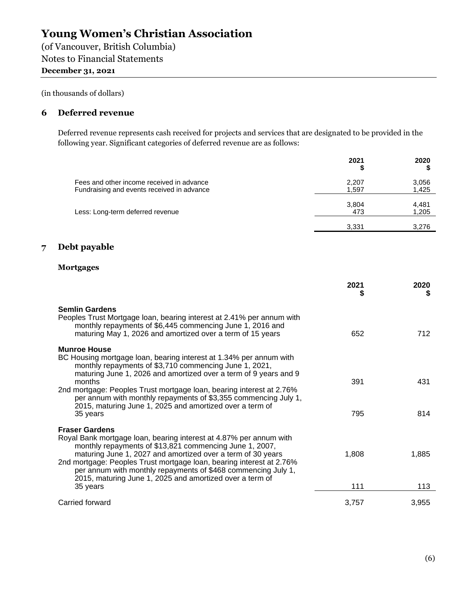(of Vancouver, British Columbia) Notes to Financial Statements **December 31, 2021** 

(in thousands of dollars)

#### **6 Deferred revenue**

Deferred revenue represents cash received for projects and services that are designated to be provided in the following year. Significant categories of deferred revenue are as follows:

|                                                                                         | 2021<br>\$     | 2020           |
|-----------------------------------------------------------------------------------------|----------------|----------------|
| Fees and other income received in advance<br>Fundraising and events received in advance | 2,207<br>1,597 | 3,056<br>1,425 |
| Less: Long-term deferred revenue                                                        | 3,804<br>473   | 4,481<br>1,205 |
|                                                                                         | 3,331          | 3,276          |

#### **7 Debt payable**

#### **Mortgages**

|                                                                                                                                                                                                                                                                                                                                                                                                                            | 2021<br>S | 2020<br>S |
|----------------------------------------------------------------------------------------------------------------------------------------------------------------------------------------------------------------------------------------------------------------------------------------------------------------------------------------------------------------------------------------------------------------------------|-----------|-----------|
| <b>Semlin Gardens</b><br>Peoples Trust Mortgage Ioan, bearing interest at 2.41% per annum with<br>monthly repayments of \$6,445 commencing June 1, 2016 and<br>maturing May 1, 2026 and amortized over a term of 15 years                                                                                                                                                                                                  | 652       | 712.      |
| <b>Munroe House</b><br>BC Housing mortgage loan, bearing interest at 1.34% per annum with<br>monthly repayments of \$3,710 commencing June 1, 2021,<br>maturing June 1, 2026 and amortized over a term of 9 years and 9<br>months<br>2nd mortgage: Peoples Trust mortgage loan, bearing interest at 2.76%<br>per annum with monthly repayments of \$3,355 commencing July 1,                                               | 391       | 431       |
| 2015, maturing June 1, 2025 and amortized over a term of<br>35 years                                                                                                                                                                                                                                                                                                                                                       | 795       | 814       |
| <b>Fraser Gardens</b><br>Royal Bank mortgage loan, bearing interest at 4.87% per annum with<br>monthly repayments of \$13,821 commencing June 1, 2007,<br>maturing June 1, 2027 and amortized over a term of 30 years<br>2nd mortgage: Peoples Trust mortgage loan, bearing interest at 2.76%<br>per annum with monthly repayments of \$468 commencing July 1,<br>2015, maturing June 1, 2025 and amortized over a term of | 1,808     | 1,885     |
| 35 years                                                                                                                                                                                                                                                                                                                                                                                                                   | 111       | 113       |
| Carried forward                                                                                                                                                                                                                                                                                                                                                                                                            | 3,757     | 3,955     |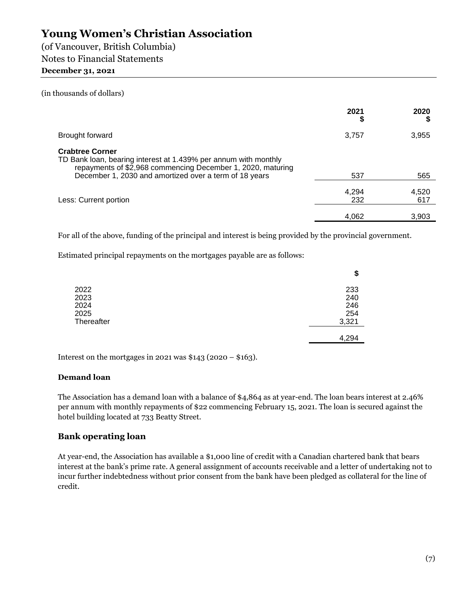(of Vancouver, British Columbia) Notes to Financial Statements

#### **December 31, 2021**

#### (in thousands of dollars)

|                                                                                                                                                                                                                    | 2021<br>S    | 2020         |
|--------------------------------------------------------------------------------------------------------------------------------------------------------------------------------------------------------------------|--------------|--------------|
| Brought forward                                                                                                                                                                                                    | 3,757        | 3,955        |
| <b>Crabtree Corner</b><br>TD Bank loan, bearing interest at 1.439% per annum with monthly<br>repayments of \$2,968 commencing December 1, 2020, maturing<br>December 1, 2030 and amortized over a term of 18 years | 537          | 565          |
| Less: Current portion                                                                                                                                                                                              | 4,294<br>232 | 4,520<br>617 |
|                                                                                                                                                                                                                    | 4,062        | 3,903        |

For all of the above, funding of the principal and interest is being provided by the provincial government.

Estimated principal repayments on the mortgages payable are as follows:

|            | \$    |
|------------|-------|
| 2022       | 233   |
| 2023       | 240   |
| 2024       | 246   |
| 2025       | 254   |
| Thereafter | 3,321 |
|            | 4,294 |

Interest on the mortgages in 2021 was  $$143$  (2020 –  $$163$ ).

#### **Demand loan**

The Association has a demand loan with a balance of \$4,864 as at year-end. The loan bears interest at 2.46% per annum with monthly repayments of \$22 commencing February 15, 2021. The loan is secured against the hotel building located at 733 Beatty Street.

#### **Bank operating loan**

At year-end, the Association has available a \$1,000 line of credit with a Canadian chartered bank that bears interest at the bank's prime rate. A general assignment of accounts receivable and a letter of undertaking not to incur further indebtedness without prior consent from the bank have been pledged as collateral for the line of credit.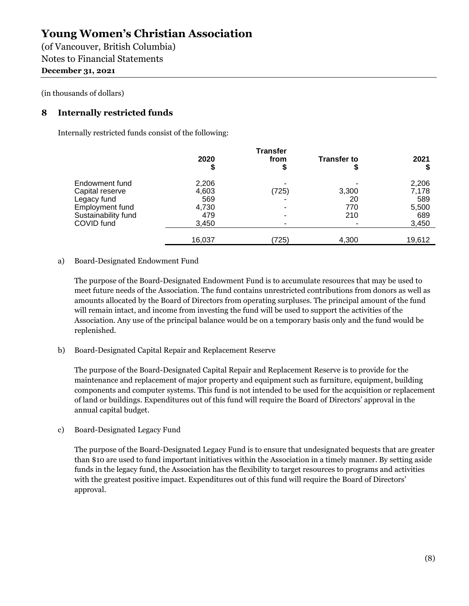(of Vancouver, British Columbia) Notes to Financial Statements **December 31, 2021** 

#### (in thousands of dollars)

#### **8 Internally restricted funds**

Internally restricted funds consist of the following:

|                     | 2020   | from  | <b>Transfer to</b> | 2021   |
|---------------------|--------|-------|--------------------|--------|
|                     | Φ      |       |                    |        |
| Endowment fund      | 2,206  |       |                    | 2,206  |
| Capital reserve     | 4,603  | (725) | 3,300              | 7,178  |
| Legacy fund         | 569    |       | 20                 | 589    |
| Employment fund     | 4,730  |       | 770                | 5,500  |
| Sustainability fund | 479    |       | 210                | 689    |
| COVID fund          | 3,450  |       |                    | 3,450  |
|                     | 16,037 | (725) | 4,300              | 19,612 |

#### a) Board-Designated Endowment Fund

The purpose of the Board-Designated Endowment Fund is to accumulate resources that may be used to meet future needs of the Association. The fund contains unrestricted contributions from donors as well as amounts allocated by the Board of Directors from operating surpluses. The principal amount of the fund will remain intact, and income from investing the fund will be used to support the activities of the Association. Any use of the principal balance would be on a temporary basis only and the fund would be replenished.

b) Board-Designated Capital Repair and Replacement Reserve

The purpose of the Board-Designated Capital Repair and Replacement Reserve is to provide for the maintenance and replacement of major property and equipment such as furniture, equipment, building components and computer systems. This fund is not intended to be used for the acquisition or replacement of land or buildings. Expenditures out of this fund will require the Board of Directors' approval in the annual capital budget.

c) Board-Designated Legacy Fund

The purpose of the Board-Designated Legacy Fund is to ensure that undesignated bequests that are greater than \$10 are used to fund important initiatives within the Association in a timely manner. By setting aside funds in the legacy fund, the Association has the flexibility to target resources to programs and activities with the greatest positive impact. Expenditures out of this fund will require the Board of Directors' approval.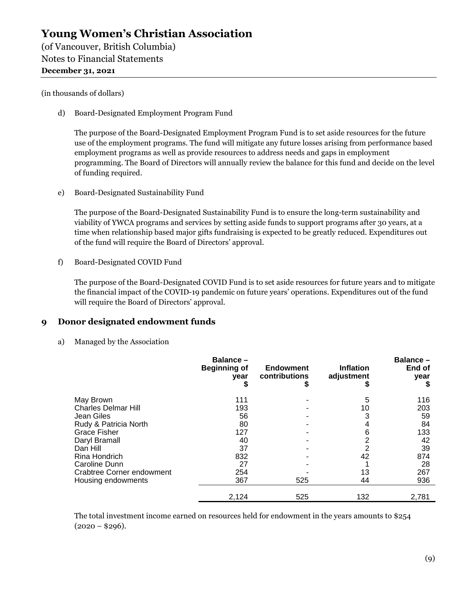(of Vancouver, British Columbia) Notes to Financial Statements **December 31, 2021** 

#### (in thousands of dollars)

d) Board-Designated Employment Program Fund

The purpose of the Board-Designated Employment Program Fund is to set aside resources for the future use of the employment programs. The fund will mitigate any future losses arising from performance based employment programs as well as provide resources to address needs and gaps in employment programming. The Board of Directors will annually review the balance for this fund and decide on the level of funding required.

e) Board-Designated Sustainability Fund

The purpose of the Board-Designated Sustainability Fund is to ensure the long-term sustainability and viability of YWCA programs and services by setting aside funds to support programs after 30 years, at a time when relationship based major gifts fundraising is expected to be greatly reduced. Expenditures out of the fund will require the Board of Directors' approval.

f) Board-Designated COVID Fund

The purpose of the Board-Designated COVID Fund is to set aside resources for future years and to mitigate the financial impact of the COVID-19 pandemic on future years' operations. Expenditures out of the fund will require the Board of Directors' approval.

#### **9 Donor designated endowment funds**

a) Managed by the Association

|                            | Balance-<br><b>Beginning of</b><br>year | <b>Endowment</b><br>contributions<br>⊅ | <b>Inflation</b><br>adjustment | Balance-<br>End of<br>year |
|----------------------------|-----------------------------------------|----------------------------------------|--------------------------------|----------------------------|
| May Brown                  | 111                                     |                                        | 5                              | 116                        |
| <b>Charles Delmar Hill</b> | 193                                     |                                        | 10                             | 203                        |
| Jean Giles                 | 56                                      |                                        |                                | 59                         |
| Rudy & Patricia North      | 80                                      |                                        | 4                              | 84                         |
| <b>Grace Fisher</b>        | 127                                     |                                        | 6                              | 133                        |
| Daryl Bramall              | 40                                      |                                        |                                | 42                         |
| Dan Hill                   | 37                                      |                                        |                                | 39                         |
| Rina Hondrich              | 832                                     |                                        | 42                             | 874                        |
| Caroline Dunn              | 27                                      |                                        |                                | 28                         |
| Crabtree Corner endowment  | 254                                     |                                        | 13                             | 267                        |
| Housing endowments         | 367                                     | 525                                    | 44                             | 936                        |
|                            | 2,124                                   | 525                                    | 132                            | 2,781                      |

The total investment income earned on resources held for endowment in the years amounts to \$254  $(2020 - $296).$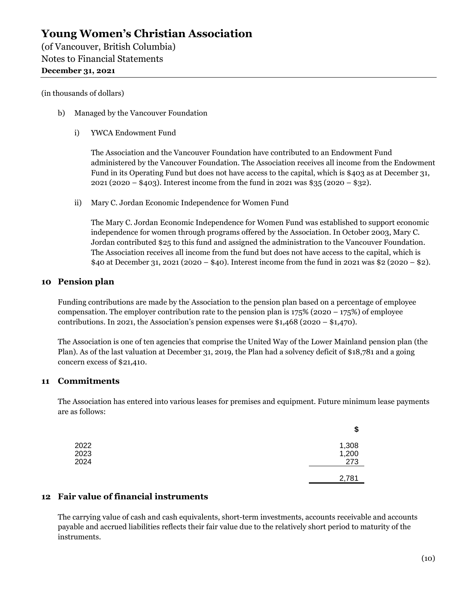(of Vancouver, British Columbia) Notes to Financial Statements **December 31, 2021** 

#### (in thousands of dollars)

- b) Managed by the Vancouver Foundation
	- i) YWCA Endowment Fund

The Association and the Vancouver Foundation have contributed to an Endowment Fund administered by the Vancouver Foundation. The Association receives all income from the Endowment Fund in its Operating Fund but does not have access to the capital, which is \$403 as at December 31, 2021 (2020 – \$403). Interest income from the fund in 2021 was \$35 (2020 – \$32).

ii) Mary C. Jordan Economic Independence for Women Fund

The Mary C. Jordan Economic Independence for Women Fund was established to support economic independence for women through programs offered by the Association. In October 2003, Mary C. Jordan contributed \$25 to this fund and assigned the administration to the Vancouver Foundation. The Association receives all income from the fund but does not have access to the capital, which is \$40 at December 31, 2021 (2020 – \$40). Interest income from the fund in 2021 was \$2 (2020 – \$2).

#### **10 Pension plan**

Funding contributions are made by the Association to the pension plan based on a percentage of employee compensation. The employer contribution rate to the pension plan is  $175\%$  (2020 – 175%) of employee contributions. In 2021, the Association's pension expenses were  $$1,468$  (2020 –  $$1,470$ ).

The Association is one of ten agencies that comprise the United Way of the Lower Mainland pension plan (the Plan). As of the last valuation at December 31, 2019, the Plan had a solvency deficit of \$18,781 and a going concern excess of \$21,410.

#### **11 Commitments**

The Association has entered into various leases for premises and equipment. Future minimum lease payments are as follows:

|      | \$    |
|------|-------|
| 2022 | 1,308 |
| 2023 | 1,200 |
| 2024 | 273   |
|      | 2,781 |

#### **12 Fair value of financial instruments**

The carrying value of cash and cash equivalents, short-term investments, accounts receivable and accounts payable and accrued liabilities reflects their fair value due to the relatively short period to maturity of the instruments.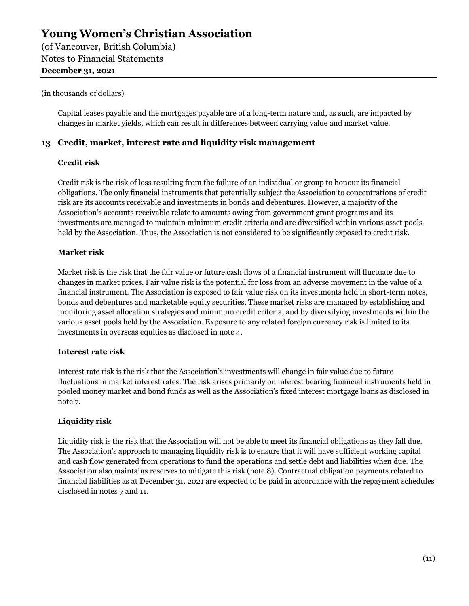(of Vancouver, British Columbia) Notes to Financial Statements **December 31, 2021** 

#### (in thousands of dollars)

Capital leases payable and the mortgages payable are of a long-term nature and, as such, are impacted by changes in market yields, which can result in differences between carrying value and market value.

#### **13 Credit, market, interest rate and liquidity risk management**

#### **Credit risk**

Credit risk is the risk of loss resulting from the failure of an individual or group to honour its financial obligations. The only financial instruments that potentially subject the Association to concentrations of credit risk are its accounts receivable and investments in bonds and debentures. However, a majority of the Association's accounts receivable relate to amounts owing from government grant programs and its investments are managed to maintain minimum credit criteria and are diversified within various asset pools held by the Association. Thus, the Association is not considered to be significantly exposed to credit risk.

#### **Market risk**

Market risk is the risk that the fair value or future cash flows of a financial instrument will fluctuate due to changes in market prices. Fair value risk is the potential for loss from an adverse movement in the value of a financial instrument. The Association is exposed to fair value risk on its investments held in short-term notes, bonds and debentures and marketable equity securities. These market risks are managed by establishing and monitoring asset allocation strategies and minimum credit criteria, and by diversifying investments within the various asset pools held by the Association. Exposure to any related foreign currency risk is limited to its investments in overseas equities as disclosed in note 4.

#### **Interest rate risk**

Interest rate risk is the risk that the Association's investments will change in fair value due to future fluctuations in market interest rates. The risk arises primarily on interest bearing financial instruments held in pooled money market and bond funds as well as the Association's fixed interest mortgage loans as disclosed in note 7.

#### **Liquidity risk**

Liquidity risk is the risk that the Association will not be able to meet its financial obligations as they fall due. The Association's approach to managing liquidity risk is to ensure that it will have sufficient working capital and cash flow generated from operations to fund the operations and settle debt and liabilities when due. The Association also maintains reserves to mitigate this risk (note 8). Contractual obligation payments related to financial liabilities as at December 31, 2021 are expected to be paid in accordance with the repayment schedules disclosed in notes 7 and 11.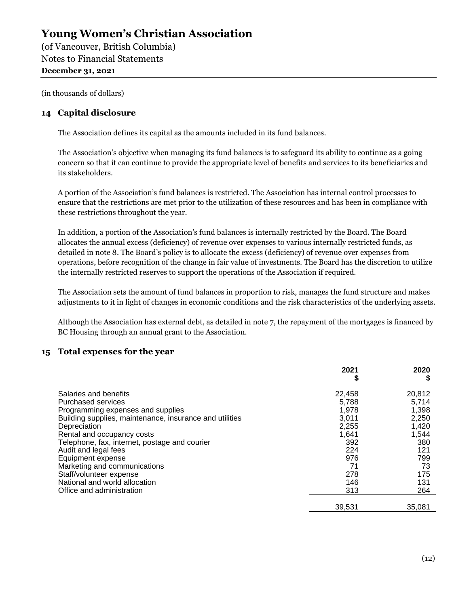(of Vancouver, British Columbia) Notes to Financial Statements **December 31, 2021** 

(in thousands of dollars)

#### **14 Capital disclosure**

The Association defines its capital as the amounts included in its fund balances.

The Association's objective when managing its fund balances is to safeguard its ability to continue as a going concern so that it can continue to provide the appropriate level of benefits and services to its beneficiaries and its stakeholders.

A portion of the Association's fund balances is restricted. The Association has internal control processes to ensure that the restrictions are met prior to the utilization of these resources and has been in compliance with these restrictions throughout the year.

In addition, a portion of the Association's fund balances is internally restricted by the Board. The Board allocates the annual excess (deficiency) of revenue over expenses to various internally restricted funds, as detailed in note 8. The Board's policy is to allocate the excess (deficiency) of revenue over expenses from operations, before recognition of the change in fair value of investments. The Board has the discretion to utilize the internally restricted reserves to support the operations of the Association if required.

The Association sets the amount of fund balances in proportion to risk, manages the fund structure and makes adjustments to it in light of changes in economic conditions and the risk characteristics of the underlying assets.

Although the Association has external debt, as detailed in note 7, the repayment of the mortgages is financed by BC Housing through an annual grant to the Association.

#### **15 Total expenses for the year**

|                                                         | 2021   | 2020<br>S |
|---------------------------------------------------------|--------|-----------|
| Salaries and benefits                                   | 22,458 | 20,812    |
| <b>Purchased services</b>                               | 5.788  | 5,714     |
| Programming expenses and supplies                       | 1,978  | 1,398     |
| Building supplies, maintenance, insurance and utilities | 3,011  | 2,250     |
| Depreciation                                            | 2,255  | 1,420     |
| Rental and occupancy costs                              | 1,641  | 1,544     |
| Telephone, fax, internet, postage and courier           | 392    | 380       |
| Audit and legal fees                                    | 224    | 121       |
| Equipment expense                                       | 976    | 799       |
| Marketing and communications                            | 71     | 73        |
| Staff/volunteer expense                                 | 278    | 175       |
| National and world allocation                           | 146    | 131       |
| Office and administration                               | 313    | 264       |
|                                                         | 39,531 | 35,081    |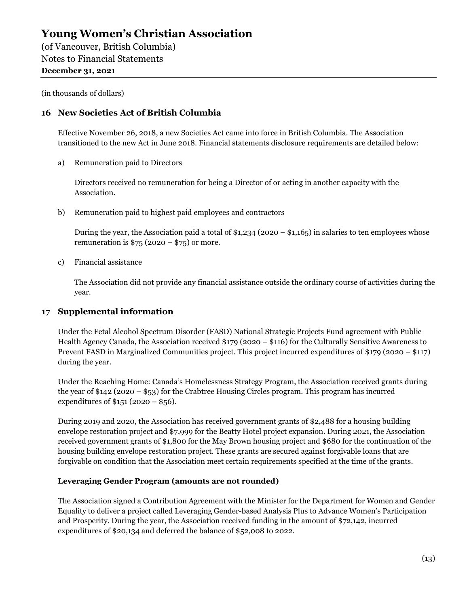(of Vancouver, British Columbia) Notes to Financial Statements **December 31, 2021** 

(in thousands of dollars)

#### **16 New Societies Act of British Columbia**

Effective November 26, 2018, a new Societies Act came into force in British Columbia. The Association transitioned to the new Act in June 2018. Financial statements disclosure requirements are detailed below:

a) Remuneration paid to Directors

Directors received no remuneration for being a Director of or acting in another capacity with the Association.

b) Remuneration paid to highest paid employees and contractors

During the year, the Association paid a total of  $$1,234$  (2020 –  $$1,165$ ) in salaries to ten employees whose remuneration is  $$75 (2020 - $75)$  or more.

c) Financial assistance

The Association did not provide any financial assistance outside the ordinary course of activities during the year.

#### **17 Supplemental information**

Under the Fetal Alcohol Spectrum Disorder (FASD) National Strategic Projects Fund agreement with Public Health Agency Canada, the Association received \$179 (2020 – \$116) for the Culturally Sensitive Awareness to Prevent FASD in Marginalized Communities project. This project incurred expenditures of \$179 (2020 – \$117) during the year.

Under the Reaching Home: Canada's Homelessness Strategy Program, the Association received grants during the year of \$142 (2020 – \$53) for the Crabtree Housing Circles program. This program has incurred expenditures of  $$151 (2020 - $56)$ .

During 2019 and 2020, the Association has received government grants of \$2,488 for a housing building envelope restoration project and \$7,999 for the Beatty Hotel project expansion. During 2021, the Association received government grants of \$1,800 for the May Brown housing project and \$680 for the continuation of the housing building envelope restoration project. These grants are secured against forgivable loans that are forgivable on condition that the Association meet certain requirements specified at the time of the grants.

#### **Leveraging Gender Program (amounts are not rounded)**

The Association signed a Contribution Agreement with the Minister for the Department for Women and Gender Equality to deliver a project called Leveraging Gender-based Analysis Plus to Advance Women's Participation and Prosperity. During the year, the Association received funding in the amount of \$72,142, incurred expenditures of \$20,134 and deferred the balance of \$52,008 to 2022.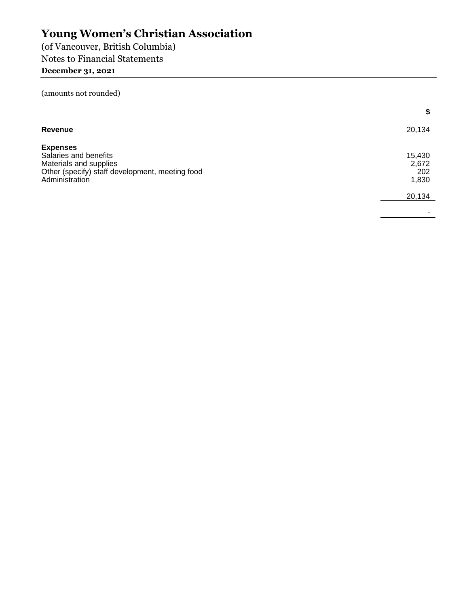(of Vancouver, British Columbia) Notes to Financial Statements

### **December 31, 2021**

(amounts not rounded)

|                                                                                                                                         | \$                              |
|-----------------------------------------------------------------------------------------------------------------------------------------|---------------------------------|
| <b>Revenue</b>                                                                                                                          | 20,134                          |
| <b>Expenses</b><br>Salaries and benefits<br>Materials and supplies<br>Other (specify) staff development, meeting food<br>Administration | 15,430<br>2,672<br>202<br>1,830 |
|                                                                                                                                         | 20,134                          |
|                                                                                                                                         |                                 |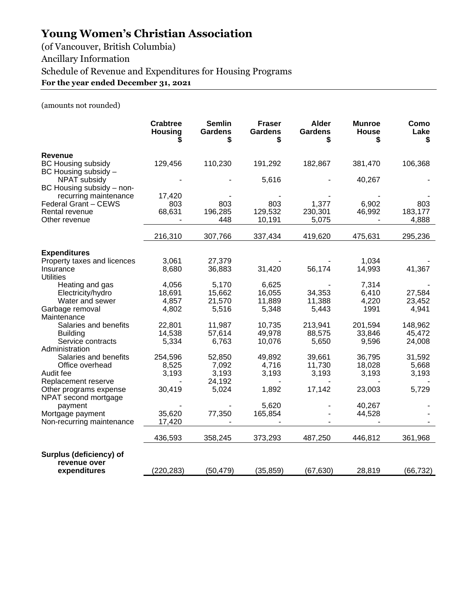(of Vancouver, British Columbia) Ancillary Information Schedule of Revenue and Expenditures for Housing Programs **For the year ended December 31, 2021** 

(amounts not rounded)

|                                                                     | <b>Crabtree</b><br><b>Housing</b> | <b>Semlin</b><br><b>Gardens</b><br>\$ | <b>Fraser</b><br><b>Gardens</b><br>\$ | <b>Alder</b><br><b>Gardens</b><br>\$ | <b>Munroe</b><br>House<br>S | Como<br>Lake<br>\$ |
|---------------------------------------------------------------------|-----------------------------------|---------------------------------------|---------------------------------------|--------------------------------------|-----------------------------|--------------------|
| <b>Revenue</b><br><b>BC Housing subsidy</b><br>BC Housing subsidy - | 129,456                           | 110,230                               | 191,292                               | 182,867                              | 381,470                     | 106,368            |
| <b>NPAT subsidy</b><br>BC Housing subsidy - non-                    |                                   |                                       | 5,616                                 |                                      | 40,267                      |                    |
| recurring maintenance                                               | 17,420                            |                                       |                                       |                                      |                             |                    |
| Federal Grant - CEWS                                                | 803                               | 803                                   | 803                                   | 1,377                                | 6,902                       | 803                |
| Rental revenue                                                      | 68,631                            | 196,285                               | 129,532                               | 230,301                              | 46,992                      | 183,177            |
| Other revenue                                                       |                                   | 448                                   | 10,191                                | 5,075                                |                             | 4,888              |
|                                                                     | 216,310                           | 307,766                               | 337,434                               | 419,620                              | 475,631                     | 295,236            |
| <b>Expenditures</b>                                                 |                                   |                                       |                                       |                                      |                             |                    |
| Property taxes and licences                                         | 3,061                             | 27,379                                |                                       |                                      | 1,034                       |                    |
| Insurance<br><b>Utilities</b>                                       | 8,680                             | 36,883                                | 31,420                                | 56,174                               | 14,993                      | 41,367             |
| Heating and gas                                                     | 4,056                             | 5,170                                 | 6,625                                 |                                      | 7,314                       |                    |
| Electricity/hydro                                                   | 18,691                            | 15,662                                | 16,055                                | 34,353                               | 6,410                       | 27,584             |
| Water and sewer                                                     | 4,857                             | 21,570                                | 11,889                                | 11,388                               | 4,220                       | 23,452             |
| Garbage removal                                                     | 4,802                             | 5,516                                 | 5,348                                 | 5,443                                | 1991                        | 4,941              |
| Maintenance                                                         |                                   |                                       |                                       |                                      |                             |                    |
| Salaries and benefits                                               | 22,801                            | 11,987                                | 10,735                                | 213,941                              | 201,594                     | 148,962            |
| <b>Building</b>                                                     | 14,538                            | 57,614                                | 49,978                                | 88,575                               | 33,846                      | 45,472             |
| Service contracts                                                   | 5,334                             | 6,763                                 | 10,076                                | 5,650                                | 9,596                       | 24,008             |
| Administration                                                      |                                   |                                       |                                       |                                      |                             |                    |
| Salaries and benefits                                               | 254,596                           | 52,850                                | 49,892                                | 39,661                               | 36,795                      | 31,592             |
| Office overhead<br>Audit fee                                        | 8,525<br>3,193                    | 7,092<br>3,193                        | 4,716<br>3,193                        | 11,730<br>3,193                      | 18,028<br>3,193             | 5,668<br>3,193     |
| Replacement reserve                                                 |                                   | 24,192                                |                                       |                                      |                             |                    |
| Other programs expense<br>NPAT second mortgage                      | 30,419                            | 5,024                                 | 1,892                                 | 17,142                               | 23,003                      | 5,729              |
| payment                                                             |                                   |                                       | 5,620                                 |                                      | 40,267                      |                    |
| Mortgage payment                                                    | 35,620                            | 77,350                                | 165,854                               |                                      | 44,528                      |                    |
| Non-recurring maintenance                                           | 17,420                            |                                       |                                       |                                      |                             |                    |
|                                                                     | 436,593                           | 358,245                               | 373,293                               | 487,250                              | 446,812                     | 361,968            |
| Surplus (deficiency) of                                             |                                   |                                       |                                       |                                      |                             |                    |
| revenue over<br>expenditures                                        | (220, 283)                        | (50, 479)                             | (35, 859)                             | (67, 630)                            | 28,819                      | (66, 732)          |